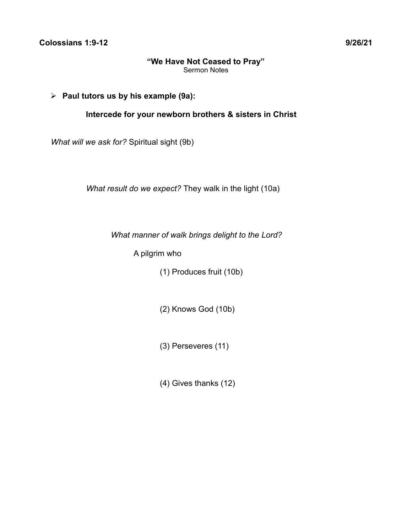# ➢ **Paul tutors us by his example (9a):**

**Intercede for your newborn brothers & sisters in Christ**

*What will we ask for?* Spiritual sight (9b)

*What result do we expect?* They walk in the light (10a)

*What manner of walk brings delight to the Lord?*

A pilgrim who

(1) Produces fruit (10b)

(2) Knows God (10b)

(3) Perseveres (11)

(4) Gives thanks (12)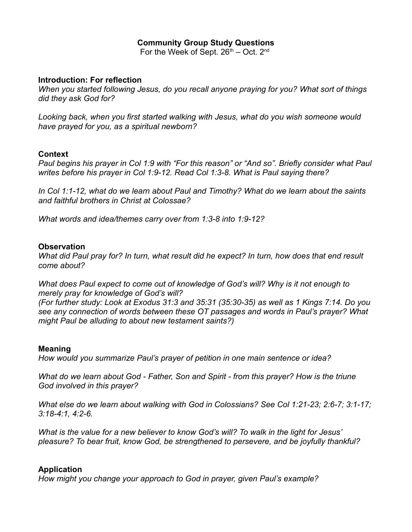# **Community Group Study Questions**

For the Week of Sept.  $26<sup>th</sup> - Oct. 2<sup>nd</sup>$ 

### **Introduction: For reflection**

*When you started following Jesus, do you recall anyone praying for you? What sort of things did they ask God for?*

*Looking back, when you first started walking with Jesus, what do you wish someone would have prayed for you, as a spiritual newborn?*

# **Context**

*Paul begins his prayer in Col 1:9 with "For this reason" or "And so". Briefly consider what Paul writes before his prayer in Col 1:9-12. Read Col 1:3-8. What is Paul saying there?*

*In Col 1:1-12, what do we learn about Paul and Timothy? What do we learn about the saints and faithful brothers in Christ at Colossae?*

*What words and idea/themes carry over from 1:3-8 into 1:9-12?*

#### **Observation**

*What did Paul pray for? In turn, what result did he expect? In turn, how does that end result come about?*

*What does Paul expect to come out of knowledge of God's will? Why is it not enough to merely pray for knowledge of God's will?* 

*(For further study: Look at Exodus 31:3 and 35:31 (35:30-35) as well as 1 Kings 7:14. Do you see any connection of words between these OT passages and words in Paul's prayer? What might Paul be alluding to about new testament saints?)*

# **Meaning**

*How would you summarize Paul's prayer of petition in one main sentence or idea?*

*What do we learn about God - Father, Son and Spirit - from this prayer? How is the triune God involved in this prayer?*

*What else do we learn about walking with God in Colossians? See Col 1:21-23; 2:6-7; 3:1-17; 3:18-4:1, 4:2-6.*

*What is the value for a new believer to know God's will? To walk in the light for Jesus' pleasure? To bear fruit, know God, be strengthened to persevere, and be joyfully thankful?*

# **Application**

*How might you change your approach to God in prayer, given Paul's example?*